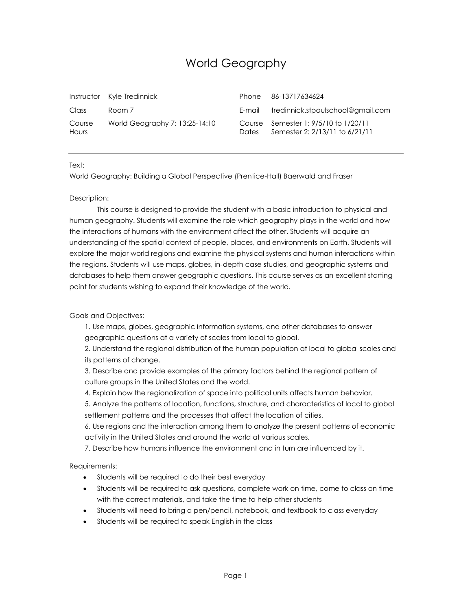## World Geography

|                 | Instructor Kyle Tredinnick     | Phone  | 86-13717634624                                                         |
|-----------------|--------------------------------|--------|------------------------------------------------------------------------|
| Class           | Room 7                         | E-mail | tredinnick.stpaulschool@gmail.com                                      |
| Course<br>Hours | World Geography 7: 13:25-14:10 | Dates. | Course Semester 1: 9/5/10 to 1/20/11<br>Semester 2: 2/13/11 to 6/21/11 |

Text:

World Geography: Building a Global Perspective (Prentice-Hall) Baerwald and Fraser

## Description:

This course is designed to provide the student with a basic introduction to physical and human geography. Students will examine the role which geography plays in the world and how the interactions of humans with the environment affect the other. Students will acquire an understanding of the spatial context of people, places, and environments on Earth. Students will explore the major world regions and examine the physical systems and human interactions within the regions. Students will use maps, globes, in‐depth case studies, and geographic systems and databases to help them answer geographic questions. This course serves as an excellent starting point for students wishing to expand their knowledge of the world.

## Goals and Objectives:

1. Use maps, globes, geographic information systems, and other databases to answer geographic questions at a variety of scales from local to global.

2. Understand the regional distribution of the human population at local to global scales and its patterns of change.

3. Describe and provide examples of the primary factors behind the regional pattern of culture groups in the United States and the world.

4. Explain how the regionalization of space into political units affects human behavior.

5. Analyze the patterns of location, functions, structure, and characteristics of local to global settlement patterns and the processes that affect the location of cities.

6. Use regions and the interaction among them to analyze the present patterns of economic activity in the United States and around the world at various scales.

7. Describe how humans influence the environment and in turn are influenced by it.

Requirements:

- Students will be required to do their best everyday
- Students will be required to ask questions, complete work on time, come to class on time with the correct materials, and take the time to help other students
- Students will need to bring a pen/pencil, notebook, and textbook to class everyday
- Students will be required to speak English in the class